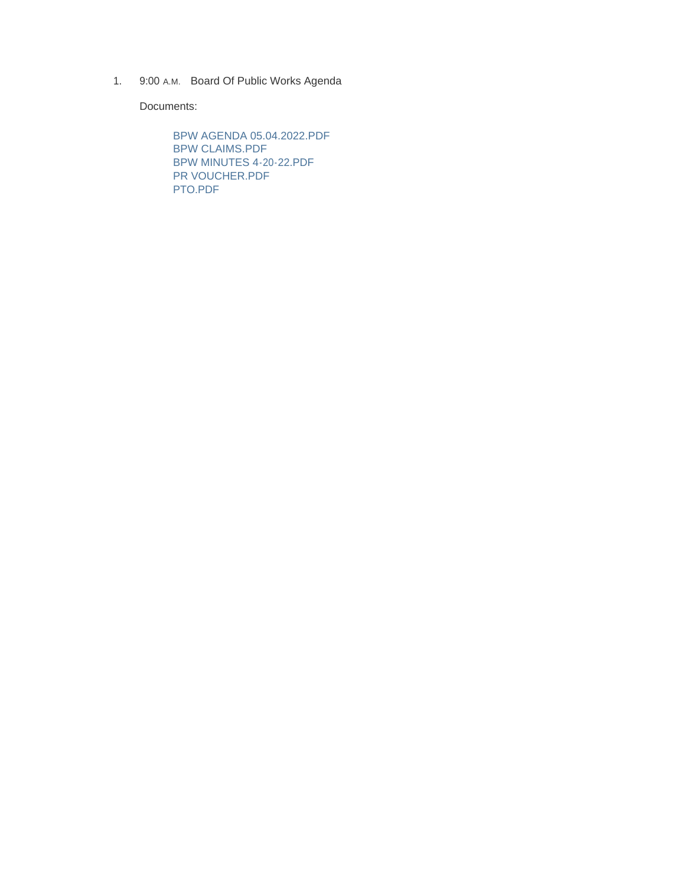1. 9:00 A.M. Board Of Public Works Agenda

Documents:

BPW AGENDA 05.04.2022.PDF BPW CLAIMS.PDF BPW MINUTES 4-20-22.PDF PR VOUCHER.PDF PTO.PDF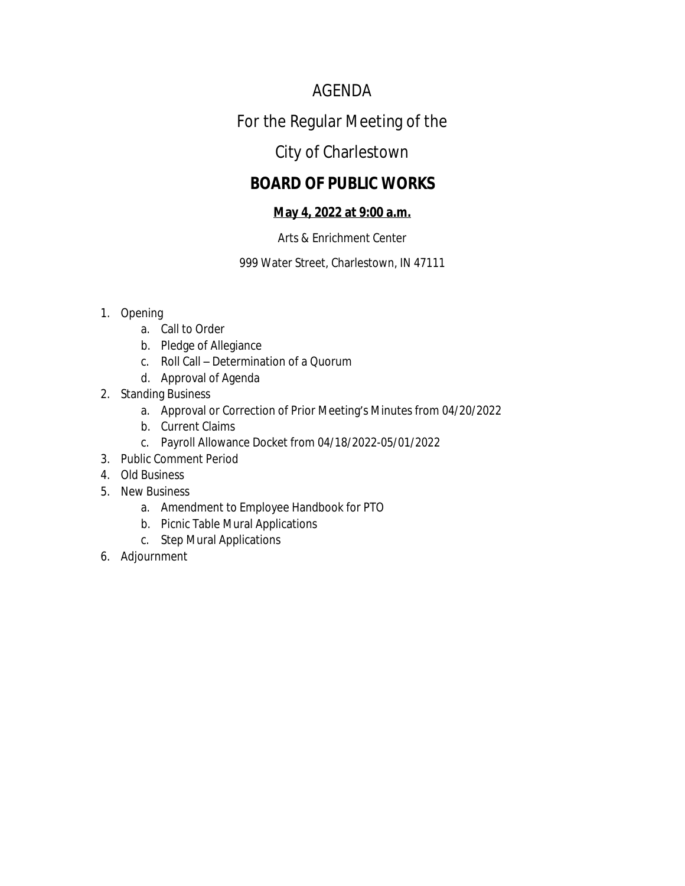# AGENDA

# For the Regular Meeting of the

# City of Charlestown

# **BOARD OF PUBLIC WORKS**

# **May 4, 2022 at 9:00 a.m.**

# Arts & Enrichment Center

999 Water Street, Charlestown, IN 47111

# 1. Opening

- a. Call to Order
- b. Pledge of Allegiance
- c. Roll Call Determination of a Quorum
- d. Approval of Agenda
- 2. Standing Business
	- a. Approval or Correction of Prior Meeting's Minutes from 04/20/2022
	- b. Current Claims
	- c. Payroll Allowance Docket from 04/18/2022-05/01/2022
- 3. Public Comment Period
- 4. Old Business
- 5. New Business
	- a. Amendment to Employee Handbook for PTO
	- b. Picnic Table Mural Applications
	- c. Step Mural Applications
- 6. Adjournment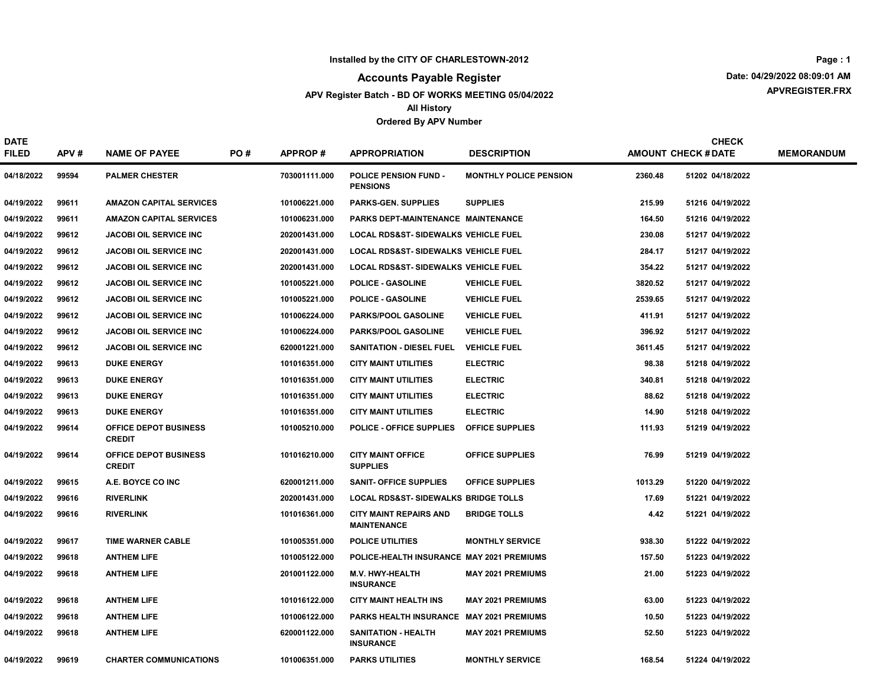#### Accounts Payable Register

#### APV Register Batch - BD OF WORKS MEETING 05/04/2022 All History

#### Ordered By APV Number

APVREGISTER.FRX Date: 04/29/2022 08:09:01 AM Page : 1

DATE FILED APV # NAME OF PAYEE PO # APPROP # APPROPRIATION DESCRIPTION AMOUNT CHECK # DATE MEMORANDUM CHECK PO # APPROP # APPROPRIATION DESCRIPTION DESTRIPTION AMOUNT CHECK #DATE 04/18/2022 99594 PALMER CHESTER 703001111.000 POLICE PENSION FUND -PENSIONS MONTHLY POLICE PENSION 2360.48 51202 04/18/2022 04/19/2022 99611 AMAZON CAPITAL SERVICES 101006221.000 PARKS-GEN. SUPPLIES SUPPLIES 215.99 51216 04/19/2022 04/19/2022 99611 AMAZON CAPITAL SERVICES 101006231.000 PARKS DEPT-MAINTENANCE MAINTENANCE 164.50 164.50 51216 04/19/2022 04/19/2022 99612 JACOBI OIL SERVICE INC 202001431.000 LOCAL RDS&ST- SIDEWALKS VEHICLE FUEL 230.08 51217 04/19/2022 04/19/2022 99612 JACOBI OIL SERVICE INC 202001431.000 LOCAL RDS&ST- SIDEWALKS VEHICLE FUEL 284.17 284.17 51217 04/19/2022 99612 JACOBI OIL SERVICE INC 202001431.000 LOCAL RDS&ST- SIDEWALKS VEHICLE FUEL 354.22 51217 04/19/2022 04/19/2022 99612 JACOBI OIL SERVICE INC 101005221.000 POLICE - GASOLINE VEHICLE FUEL 3820.52 51217 04/19/2022 04/19/2022 99612 JACOBI OIL SERVICE INC 101005221.000 POLICE - GASOLINE VEHICLE FUEL 2539.65 51217 04/19/2022 04/19/2022 99612 JACOBI OIL SERVICE INC 101006224.000 PARKS/POOL GASOLINE VEHICLE FUEL 1980 10119/2022 99612 11.91 51217 04/19/2022 04/19/2022 99612 JACOBI OIL SERVICE INC 101006224.000 PARKS/POOL GASOLINE VEHICLE FUEL 396.92 51217 04/19/2022 04/19/2022 99612 JACOBI OIL SERVICE INC 620001221.000 SANITATION - DIESEL FUEL VEHICLE FUEL 3611.45 51217 04/19/2022 04/19/2022 99613 DUKE ENERGY 101016351.000 CITY MAINT UTILITIES ELECTRIC 98.38 51218 04/19/2022 04/19/2022 99613 DUKE ENERGY 101016351.000 CITY MAINT UTILITIES ELECTRIC 340.81 51218 04/19/2022 04/19/2022 99613 DUKE ENERGY 101016351.000 CITY MAINT UTILITIES ELECTRIC 88.62 51218 04/19/2022 04/19/2022 99613 DUKE ENERGY 101016351.000 CITY MAINT UTILITIES ELECTRIC 14.90 51218 04/19/2022 04/19/2022 99614 OFFICE DEPOT BUSINESS CREDIT 101005210.000 POLICE - OFFICE SUPPLIES 111.93 51219 OFFICE SUPPLIES 04/19/2022 04/19/2022 99614 OFFICE DEPOT BUSINESS CREDIT 101016210.000 CITY MAINT OFFICE OFFICE SUPPLIES 76.99 51219 04/19/2022 SUPPLIES 04/19/2022 99615 A.E. BOYCE CO INC 620001211.000 SANIT- OFFICE SUPPLIES 1013.29 51220 04/19/2022 04/19/2022 99616 RIVERLINK 2020 202001431.000 LOCAL RDS&ST- SIDEWALKS BRIDGE TOLLS 17.69 51221 04/19/2022 04/19/2022 99616 RIVERLINK 101016361.000 CITY MAINT REPAIRS AND BRIDGE TOLLS 4.42 51221 04/19/2022 MAINTENANCE 04/19/2022 99617 TIME WARNER CABLE 101005351.000 POLICE UTILITIES MONTHLY SERVICE 936.30 51222 04/19/2022 04/19/2022 99618 ANTHEM LIFE 101005122.000 POLICE-HEALTH INSURANCE MAY 2021 PREMIUMS 157.50 51223 04/19/2022 04/19/2022 99618 ANTHEM LIFE 201001122.000 M.V. HWY-HEALTH **INSURANCE** MAY 2021 PREMIUMS 21.00 51223 04/19/2022 04/19/2022 99618 ANTHEM LIFE 101016122.000 CITY MAINT HEALTH INS MAY 2021 PREMIUMS 63.00 51223 04/19/2022 04/19/2022 99618 ANTHEM LIFE PARKS HEALTH INSURANCE 10.50 51223 101006122.000 MAY 2021 PREMIUMS 04/19/2022 04/19/2022 99618 ANTHEM LIFE SANITATION - HEALTH 620001122.000 MAY 2021 PREMIUMS 04/19/2022 52.50 51223 **INSURANCE** 

04/19/2022 99619 CHARTER COMMUNICATIONS 101006351.000 PARKS UTILITIES MONTHLY SERVICE 168.54 51224 04/19/2022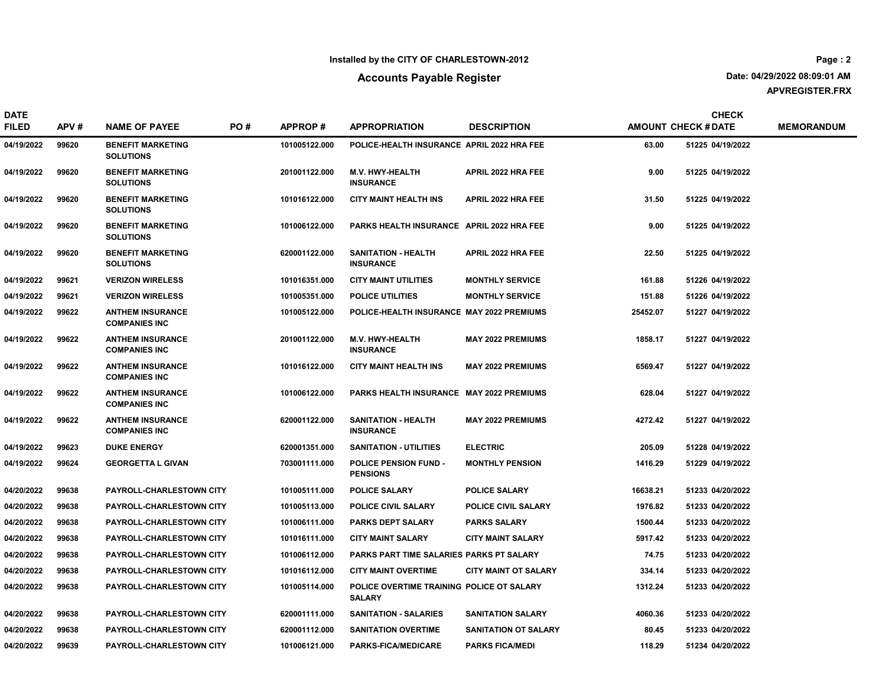## Accounts Payable Register

DATE

APVREGISTER.FRX Date: 04/29/2022 08:09:01 AM

CHECK

| <b>FILED</b> | APV#  | <b>NAME OF PAYEE</b>                            | PO# | <b>APPROP#</b> | <b>APPROPRIATION</b>                                       | <b>DESCRIPTION</b>          |          | <b>AMOUNT CHECK # DATE</b> | <b>MEMORANDUM</b> |
|--------------|-------|-------------------------------------------------|-----|----------------|------------------------------------------------------------|-----------------------------|----------|----------------------------|-------------------|
| 04/19/2022   | 99620 | <b>BENEFIT MARKETING</b><br><b>SOLUTIONS</b>    |     | 101005122.000  | POLICE-HEALTH INSURANCE APRIL 2022 HRA FEE                 |                             | 63.00    | 51225 04/19/2022           |                   |
| 04/19/2022   | 99620 | <b>BENEFIT MARKETING</b><br><b>SOLUTIONS</b>    |     | 201001122.000  | M.V. HWY-HEALTH<br><b>INSURANCE</b>                        | APRIL 2022 HRA FEE          | 9.00     | 51225 04/19/2022           |                   |
| 04/19/2022   | 99620 | <b>BENEFIT MARKETING</b><br><b>SOLUTIONS</b>    |     | 101016122.000  | <b>CITY MAINT HEALTH INS</b>                               | <b>APRIL 2022 HRA FEE</b>   | 31.50    | 51225 04/19/2022           |                   |
| 04/19/2022   | 99620 | <b>BENEFIT MARKETING</b><br><b>SOLUTIONS</b>    |     | 101006122.000  | PARKS HEALTH INSURANCE APRIL 2022 HRA FEE                  |                             | 9.00     | 51225 04/19/2022           |                   |
| 04/19/2022   | 99620 | <b>BENEFIT MARKETING</b><br><b>SOLUTIONS</b>    |     | 620001122.000  | <b>SANITATION - HEALTH</b><br><b>INSURANCE</b>             | <b>APRIL 2022 HRA FEE</b>   | 22.50    | 51225 04/19/2022           |                   |
| 04/19/2022   | 99621 | <b>VERIZON WIRELESS</b>                         |     | 101016351.000  | <b>CITY MAINT UTILITIES</b>                                | <b>MONTHLY SERVICE</b>      | 161.88   | 51226 04/19/2022           |                   |
| 04/19/2022   | 99621 | <b>VERIZON WIRELESS</b>                         |     | 101005351.000  | <b>POLICE UTILITIES</b>                                    | <b>MONTHLY SERVICE</b>      | 151.88   | 51226 04/19/2022           |                   |
| 04/19/2022   | 99622 | <b>ANTHEM INSURANCE</b><br><b>COMPANIES INC</b> |     | 101005122.000  | POLICE-HEALTH INSURANCE MAY 2022 PREMIUMS                  |                             | 25452.07 | 51227 04/19/2022           |                   |
| 04/19/2022   | 99622 | <b>ANTHEM INSURANCE</b><br><b>COMPANIES INC</b> |     | 201001122.000  | M.V. HWY-HEALTH<br><b>INSURANCE</b>                        | <b>MAY 2022 PREMIUMS</b>    | 1858.17  | 51227 04/19/2022           |                   |
| 04/19/2022   | 99622 | <b>ANTHEM INSURANCE</b><br><b>COMPANIES INC</b> |     | 101016122.000  | <b>CITY MAINT HEALTH INS</b>                               | <b>MAY 2022 PREMIUMS</b>    | 6569.47  | 51227 04/19/2022           |                   |
| 04/19/2022   | 99622 | <b>ANTHEM INSURANCE</b><br><b>COMPANIES INC</b> |     | 101006122.000  | PARKS HEALTH INSURANCE MAY 2022 PREMIUMS                   |                             | 628.04   | 51227 04/19/2022           |                   |
| 04/19/2022   | 99622 | <b>ANTHEM INSURANCE</b><br><b>COMPANIES INC</b> |     | 620001122.000  | <b>SANITATION - HEALTH</b><br><b>INSURANCE</b>             | <b>MAY 2022 PREMIUMS</b>    | 4272.42  | 51227 04/19/2022           |                   |
| 04/19/2022   | 99623 | <b>DUKE ENERGY</b>                              |     | 620001351.000  | <b>SANITATION - UTILITIES</b>                              | <b>ELECTRIC</b>             | 205.09   | 51228 04/19/2022           |                   |
| 04/19/2022   | 99624 | <b>GEORGETTA L GIVAN</b>                        |     | 703001111.000  | <b>POLICE PENSION FUND -</b><br><b>PENSIONS</b>            | <b>MONTHLY PENSION</b>      | 1416.29  | 51229 04/19/2022           |                   |
| 04/20/2022   | 99638 | PAYROLL-CHARLESTOWN CITY                        |     | 101005111.000  | <b>POLICE SALARY</b>                                       | <b>POLICE SALARY</b>        | 16638.21 | 51233 04/20/2022           |                   |
| 04/20/2022   | 99638 | PAYROLL-CHARLESTOWN CITY                        |     | 101005113.000  | POLICE CIVIL SALARY                                        | POLICE CIVIL SALARY         | 1976.82  | 51233 04/20/2022           |                   |
| 04/20/2022   | 99638 | PAYROLL-CHARLESTOWN CITY                        |     | 101006111.000  | <b>PARKS DEPT SALARY</b>                                   | <b>PARKS SALARY</b>         | 1500.44  | 51233 04/20/2022           |                   |
| 04/20/2022   | 99638 | PAYROLL-CHARLESTOWN CITY                        |     | 101016111.000  | <b>CITY MAINT SALARY</b>                                   | <b>CITY MAINT SALARY</b>    | 5917.42  | 51233 04/20/2022           |                   |
| 04/20/2022   | 99638 | PAYROLL-CHARLESTOWN CITY                        |     | 101006112.000  | PARKS PART TIME SALARIES PARKS PT SALARY                   |                             | 74.75    | 51233 04/20/2022           |                   |
| 04/20/2022   | 99638 | PAYROLL-CHARLESTOWN CITY                        |     | 101016112.000  | <b>CITY MAINT OVERTIME</b>                                 | <b>CITY MAINT OT SALARY</b> | 334.14   | 51233 04/20/2022           |                   |
| 04/20/2022   | 99638 | PAYROLL-CHARLESTOWN CITY                        |     | 101005114.000  | POLICE OVERTIME TRAINING POLICE OT SALARY<br><b>SALARY</b> |                             | 1312.24  | 51233 04/20/2022           |                   |
| 04/20/2022   | 99638 | PAYROLL-CHARLESTOWN CITY                        |     | 620001111.000  | <b>SANITATION - SALARIES</b>                               | <b>SANITATION SALARY</b>    | 4060.36  | 51233 04/20/2022           |                   |
| 04/20/2022   | 99638 | PAYROLL-CHARLESTOWN CITY                        |     | 620001112.000  | <b>SANITATION OVERTIME</b>                                 | SANITATION OT SALARY        | 80.45    | 51233 04/20/2022           |                   |
| 04/20/2022   | 99639 | <b>PAYROLL-CHARLESTOWN CITY</b>                 |     | 101006121.000  | <b>PARKS-FICA/MEDICARE</b>                                 | <b>PARKS FICA/MEDI</b>      | 118.29   | 51234 04/20/2022           |                   |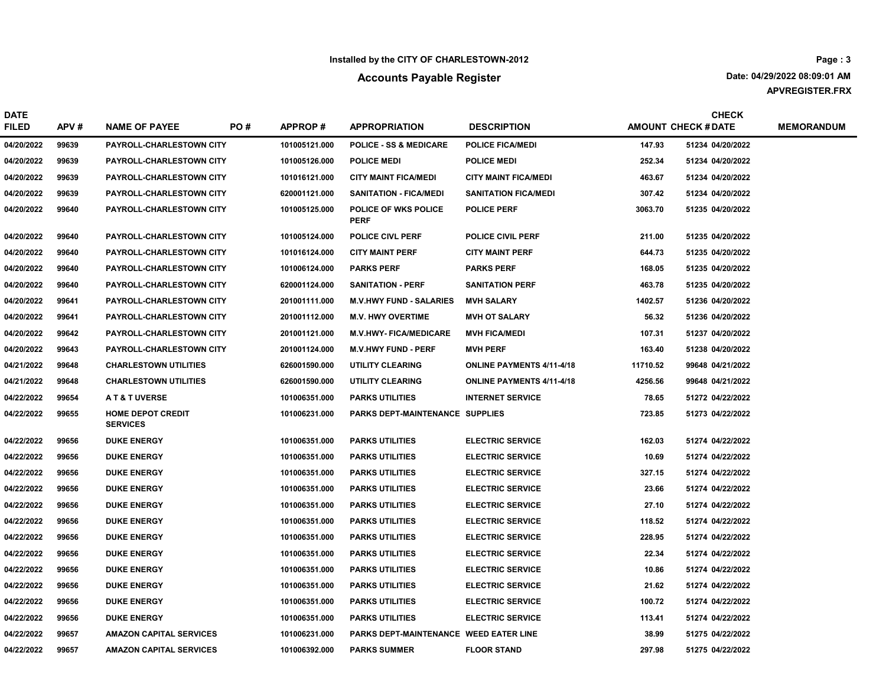## Accounts Payable Register

APVREGISTER.FRX Date: 04/29/2022 08:09:01 AM Page : 3

| <b>DATE</b><br><b>FILED</b> | APV#  | <b>NAME OF PAYEE</b>                        | PO# | <b>APPROP#</b> | <b>APPROPRIATION</b>                       | <b>DESCRIPTION</b>               |          | <b>CHECK</b><br><b>AMOUNT CHECK # DATE</b> | <b>MEMORANDUM</b> |
|-----------------------------|-------|---------------------------------------------|-----|----------------|--------------------------------------------|----------------------------------|----------|--------------------------------------------|-------------------|
| 04/20/2022                  | 99639 | PAYROLL-CHARLESTOWN CITY                    |     | 101005121.000  | <b>POLICE - SS &amp; MEDICARE</b>          | <b>POLICE FICA/MEDI</b>          | 147.93   | 51234 04/20/2022                           |                   |
| 04/20/2022                  | 99639 | <b>PAYROLL-CHARLESTOWN CITY</b>             |     | 101005126.000  | <b>POLICE MEDI</b>                         | <b>POLICE MEDI</b>               | 252.34   | 51234 04/20/2022                           |                   |
| 04/20/2022                  | 99639 | PAYROLL-CHARLESTOWN CITY                    |     | 101016121.000  | <b>CITY MAINT FICA/MEDI</b>                | <b>CITY MAINT FICA/MEDI</b>      | 463.67   | 51234 04/20/2022                           |                   |
| 04/20/2022                  | 99639 | <b>PAYROLL-CHARLESTOWN CITY</b>             |     | 620001121.000  | <b>SANITATION - FICA/MEDI</b>              | <b>SANITATION FICA/MEDI</b>      | 307.42   | 51234 04/20/2022                           |                   |
| 04/20/2022                  | 99640 | <b>PAYROLL-CHARLESTOWN CITY</b>             |     | 101005125.000  | <b>POLICE OF WKS POLICE</b><br><b>PERF</b> | <b>POLICE PERF</b>               | 3063.70  | 51235 04/20/2022                           |                   |
| 04/20/2022                  | 99640 | PAYROLL-CHARLESTOWN CITY                    |     | 101005124.000  | <b>POLICE CIVL PERF</b>                    | <b>POLICE CIVIL PERF</b>         | 211.00   | 51235 04/20/2022                           |                   |
| 04/20/2022                  | 99640 | <b>PAYROLL-CHARLESTOWN CITY</b>             |     | 101016124.000  | <b>CITY MAINT PERF</b>                     | <b>CITY MAINT PERF</b>           | 644.73   | 51235 04/20/2022                           |                   |
| 04/20/2022                  | 99640 | <b>PAYROLL-CHARLESTOWN CITY</b>             |     | 101006124.000  | <b>PARKS PERF</b>                          | <b>PARKS PERF</b>                | 168.05   | 51235 04/20/2022                           |                   |
| 04/20/2022                  | 99640 | PAYROLL-CHARLESTOWN CITY                    |     | 620001124.000  | <b>SANITATION - PERF</b>                   | <b>SANITATION PERF</b>           | 463.78   | 51235 04/20/2022                           |                   |
| 04/20/2022                  | 99641 | <b>PAYROLL-CHARLESTOWN CITY</b>             |     | 201001111.000  | <b>M.V.HWY FUND - SALARIES</b>             | <b>MVH SALARY</b>                | 1402.57  | 51236 04/20/2022                           |                   |
| 04/20/2022                  | 99641 | PAYROLL-CHARLESTOWN CITY                    |     | 201001112.000  | <b>M.V. HWY OVERTIME</b>                   | <b>MVH OT SALARY</b>             | 56.32    | 51236 04/20/2022                           |                   |
| 04/20/2022                  | 99642 | <b>PAYROLL-CHARLESTOWN CITY</b>             |     | 201001121.000  | <b>M.V.HWY- FICA/MEDICARE</b>              | <b>MVH FICA/MEDI</b>             | 107.31   | 51237 04/20/2022                           |                   |
| 04/20/2022                  | 99643 | <b>PAYROLL-CHARLESTOWN CITY</b>             |     | 201001124.000  | <b>M.V.HWY FUND - PERF</b>                 | <b>MVH PERF</b>                  | 163.40   | 51238 04/20/2022                           |                   |
| 04/21/2022                  | 99648 | <b>CHARLESTOWN UTILITIES</b>                |     | 626001590.000  | UTILITY CLEARING                           | <b>ONLINE PAYMENTS 4/11-4/18</b> | 11710.52 | 99648 04/21/2022                           |                   |
| 04/21/2022                  | 99648 | <b>CHARLESTOWN UTILITIES</b>                |     | 626001590.000  | <b>UTILITY CLEARING</b>                    | <b>ONLINE PAYMENTS 4/11-4/18</b> | 4256.56  | 99648 04/21/2022                           |                   |
| 04/22/2022                  | 99654 | <b>AT&amp;TUVERSE</b>                       |     | 101006351.000  | <b>PARKS UTILITIES</b>                     | <b>INTERNET SERVICE</b>          | 78.65    | 51272 04/22/2022                           |                   |
| 04/22/2022                  | 99655 | <b>HOME DEPOT CREDIT</b><br><b>SERVICES</b> |     | 101006231.000  | PARKS DEPT-MAINTENANCE SUPPLIES            |                                  | 723.85   | 51273 04/22/2022                           |                   |
| 04/22/2022                  | 99656 | <b>DUKE ENERGY</b>                          |     | 101006351.000  | <b>PARKS UTILITIES</b>                     | <b>ELECTRIC SERVICE</b>          | 162.03   | 51274 04/22/2022                           |                   |
| 04/22/2022                  | 99656 | <b>DUKE ENERGY</b>                          |     | 101006351.000  | <b>PARKS UTILITIES</b>                     | <b>ELECTRIC SERVICE</b>          | 10.69    | 51274 04/22/2022                           |                   |
| 04/22/2022                  | 99656 | <b>DUKE ENERGY</b>                          |     | 101006351.000  | <b>PARKS UTILITIES</b>                     | <b>ELECTRIC SERVICE</b>          | 327.15   | 51274 04/22/2022                           |                   |
| 04/22/2022                  | 99656 | <b>DUKE ENERGY</b>                          |     | 101006351.000  | <b>PARKS UTILITIES</b>                     | <b>ELECTRIC SERVICE</b>          | 23.66    | 51274 04/22/2022                           |                   |
| 04/22/2022                  | 99656 | <b>DUKE ENERGY</b>                          |     | 101006351.000  | <b>PARKS UTILITIES</b>                     | <b>ELECTRIC SERVICE</b>          | 27.10    | 51274 04/22/2022                           |                   |
| 04/22/2022                  | 99656 | <b>DUKE ENERGY</b>                          |     | 101006351.000  | <b>PARKS UTILITIES</b>                     | <b>ELECTRIC SERVICE</b>          | 118.52   | 51274 04/22/2022                           |                   |
| 04/22/2022                  | 99656 | <b>DUKE ENERGY</b>                          |     | 101006351.000  | <b>PARKS UTILITIES</b>                     | <b>ELECTRIC SERVICE</b>          | 228.95   | 51274 04/22/2022                           |                   |
| 04/22/2022                  | 99656 | <b>DUKE ENERGY</b>                          |     | 101006351.000  | <b>PARKS UTILITIES</b>                     | <b>ELECTRIC SERVICE</b>          | 22.34    | 51274 04/22/2022                           |                   |
| 04/22/2022                  | 99656 | <b>DUKE ENERGY</b>                          |     | 101006351.000  | <b>PARKS UTILITIES</b>                     | <b>ELECTRIC SERVICE</b>          | 10.86    | 51274 04/22/2022                           |                   |
| 04/22/2022                  | 99656 | <b>DUKE ENERGY</b>                          |     | 101006351.000  | <b>PARKS UTILITIES</b>                     | <b>ELECTRIC SERVICE</b>          | 21.62    | 51274 04/22/2022                           |                   |
| 04/22/2022                  | 99656 | <b>DUKE ENERGY</b>                          |     | 101006351.000  | <b>PARKS UTILITIES</b>                     | <b>ELECTRIC SERVICE</b>          | 100.72   | 51274 04/22/2022                           |                   |
| 04/22/2022                  | 99656 | <b>DUKE ENERGY</b>                          |     | 101006351.000  | <b>PARKS UTILITIES</b>                     | <b>ELECTRIC SERVICE</b>          | 113.41   | 51274 04/22/2022                           |                   |
| 04/22/2022                  | 99657 | <b>AMAZON CAPITAL SERVICES</b>              |     | 101006231.000  | PARKS DEPT-MAINTENANCE WEED EATER LINE     |                                  | 38.99    | 51275 04/22/2022                           |                   |
| 04/22/2022                  | 99657 | <b>AMAZON CAPITAL SERVICES</b>              |     | 101006392.000  | <b>PARKS SUMMER</b>                        | <b>FLOOR STAND</b>               | 297.98   | 51275 04/22/2022                           |                   |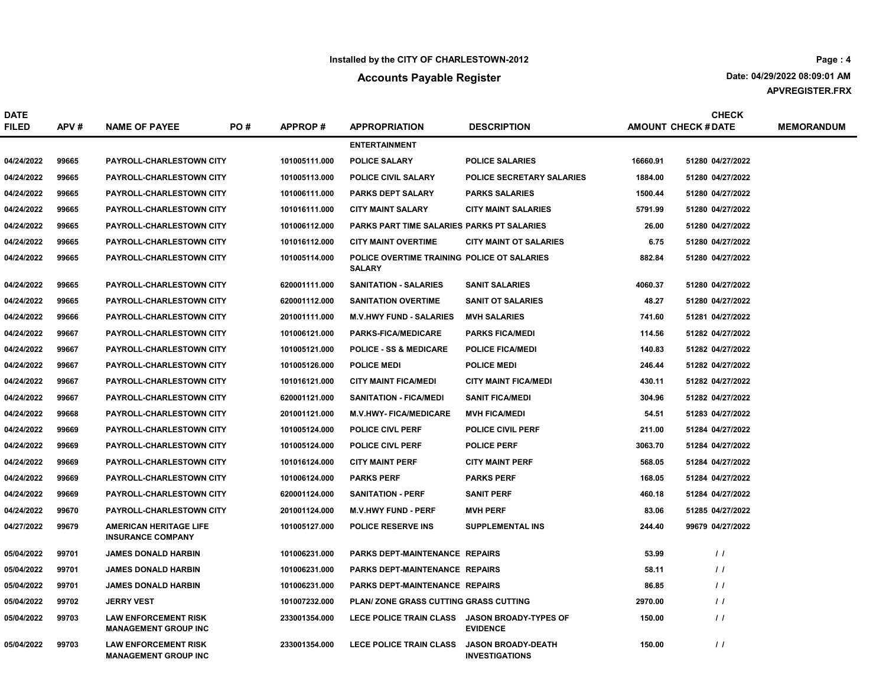## Accounts Payable Register

APVREGISTER.FRX Date: 04/29/2022 08:09:01 AM

| <b>DATE</b><br><b>FILED</b> | APV#  | <b>NAME OF PAYEE</b>                                       | PO# | <b>APPROP#</b> | <b>APPROPRIATION</b>                                         | <b>DESCRIPTION</b>                                 |          | <b>CHECK</b><br><b>AMOUNT CHECK # DATE</b> | <b>MEMORANDUM</b> |
|-----------------------------|-------|------------------------------------------------------------|-----|----------------|--------------------------------------------------------------|----------------------------------------------------|----------|--------------------------------------------|-------------------|
|                             |       |                                                            |     |                | <b>ENTERTAINMENT</b>                                         |                                                    |          |                                            |                   |
| 04/24/2022                  | 99665 | <b>PAYROLL-CHARLESTOWN CITY</b>                            |     | 101005111.000  | <b>POLICE SALARY</b>                                         | <b>POLICE SALARIES</b>                             | 16660.91 | 51280 04/27/2022                           |                   |
| 04/24/2022                  | 99665 | <b>PAYROLL-CHARLESTOWN CITY</b>                            |     | 101005113.000  | <b>POLICE CIVIL SALARY</b>                                   | <b>POLICE SECRETARY SALARIES</b>                   | 1884.00  | 51280 04/27/2022                           |                   |
| 04/24/2022                  | 99665 | <b>PAYROLL-CHARLESTOWN CITY</b>                            |     | 101006111.000  | <b>PARKS DEPT SALARY</b>                                     | <b>PARKS SALARIES</b>                              | 1500.44  | 51280 04/27/2022                           |                   |
| 04/24/2022                  | 99665 | <b>PAYROLL-CHARLESTOWN CITY</b>                            |     | 101016111.000  | <b>CITY MAINT SALARY</b>                                     | <b>CITY MAINT SALARIES</b>                         | 5791.99  | 51280 04/27/2022                           |                   |
| 04/24/2022                  | 99665 | <b>PAYROLL-CHARLESTOWN CITY</b>                            |     | 101006112.000  | <b>PARKS PART TIME SALARIES PARKS PT SALARIES</b>            |                                                    | 26.00    | 51280 04/27/2022                           |                   |
| 04/24/2022                  | 99665 | <b>PAYROLL-CHARLESTOWN CITY</b>                            |     | 101016112.000  | <b>CITY MAINT OVERTIME</b>                                   | <b>CITY MAINT OT SALARIES</b>                      | 6.75     | 51280 04/27/2022                           |                   |
| 04/24/2022                  | 99665 | <b>PAYROLL-CHARLESTOWN CITY</b>                            |     | 101005114.000  | POLICE OVERTIME TRAINING POLICE OT SALARIES<br><b>SALARY</b> |                                                    | 882.84   | 51280 04/27/2022                           |                   |
| 04/24/2022                  | 99665 | <b>PAYROLL-CHARLESTOWN CITY</b>                            |     | 620001111.000  | <b>SANITATION - SALARIES</b>                                 | <b>SANIT SALARIES</b>                              | 4060.37  | 51280 04/27/2022                           |                   |
| 04/24/2022                  | 99665 | <b>PAYROLL-CHARLESTOWN CITY</b>                            |     | 620001112.000  | <b>SANITATION OVERTIME</b>                                   | <b>SANIT OT SALARIES</b>                           | 48.27    | 51280 04/27/2022                           |                   |
| 04/24/2022                  | 99666 | <b>PAYROLL-CHARLESTOWN CITY</b>                            |     | 201001111.000  | <b>M.V.HWY FUND - SALARIES</b>                               | <b>MVH SALARIES</b>                                | 741.60   | 51281 04/27/2022                           |                   |
| 04/24/2022                  | 99667 | <b>PAYROLL-CHARLESTOWN CITY</b>                            |     | 101006121.000  | <b>PARKS-FICA/MEDICARE</b>                                   | <b>PARKS FICA/MEDI</b>                             | 114.56   | 51282 04/27/2022                           |                   |
| 04/24/2022                  | 99667 | <b>PAYROLL-CHARLESTOWN CITY</b>                            |     | 101005121.000  | <b>POLICE - SS &amp; MEDICARE</b>                            | <b>POLICE FICA/MEDI</b>                            | 140.83   | 51282 04/27/2022                           |                   |
| 04/24/2022                  | 99667 | <b>PAYROLL-CHARLESTOWN CITY</b>                            |     | 101005126.000  | <b>POLICE MEDI</b>                                           | <b>POLICE MEDI</b>                                 | 246.44   | 51282 04/27/2022                           |                   |
| 04/24/2022                  | 99667 | <b>PAYROLL-CHARLESTOWN CITY</b>                            |     | 101016121.000  | <b>CITY MAINT FICA/MEDI</b>                                  | <b>CITY MAINT FICA/MEDI</b>                        | 430.11   | 51282 04/27/2022                           |                   |
| 04/24/2022                  | 99667 | <b>PAYROLL-CHARLESTOWN CITY</b>                            |     | 620001121.000  | <b>SANITATION - FICA/MEDI</b>                                | <b>SANIT FICA/MEDI</b>                             | 304.96   | 51282 04/27/2022                           |                   |
| 04/24/2022                  | 99668 | <b>PAYROLL-CHARLESTOWN CITY</b>                            |     | 201001121.000  | <b>M.V.HWY- FICA/MEDICARE</b>                                | <b>MVH FICA/MEDI</b>                               | 54.51    | 51283 04/27/2022                           |                   |
| 04/24/2022                  | 99669 | <b>PAYROLL-CHARLESTOWN CITY</b>                            |     | 101005124.000  | <b>POLICE CIVL PERF</b>                                      | <b>POLICE CIVIL PERF</b>                           | 211.00   | 51284 04/27/2022                           |                   |
| 04/24/2022                  | 99669 | <b>PAYROLL-CHARLESTOWN CITY</b>                            |     | 101005124.000  | <b>POLICE CIVL PERF</b>                                      | <b>POLICE PERF</b>                                 | 3063.70  | 51284 04/27/2022                           |                   |
| 04/24/2022                  | 99669 | <b>PAYROLL-CHARLESTOWN CITY</b>                            |     | 101016124.000  | <b>CITY MAINT PERF</b>                                       | <b>CITY MAINT PERF</b>                             | 568.05   | 51284 04/27/2022                           |                   |
| 04/24/2022                  | 99669 | <b>PAYROLL-CHARLESTOWN CITY</b>                            |     | 101006124.000  | <b>PARKS PERF</b>                                            | <b>PARKS PERF</b>                                  | 168.05   | 51284 04/27/2022                           |                   |
| 04/24/2022                  | 99669 | <b>PAYROLL-CHARLESTOWN CITY</b>                            |     | 620001124.000  | <b>SANITATION - PERF</b>                                     | <b>SANIT PERF</b>                                  | 460.18   | 51284 04/27/2022                           |                   |
| 04/24/2022                  | 99670 | <b>PAYROLL-CHARLESTOWN CITY</b>                            |     | 201001124.000  | <b>M.V.HWY FUND - PERF</b>                                   | <b>MVH PERF</b>                                    | 83.06    | 51285 04/27/2022                           |                   |
| 04/27/2022                  | 99679 | <b>AMERICAN HERITAGE LIFE</b><br><b>INSURANCE COMPANY</b>  |     | 101005127.000  | <b>POLICE RESERVE INS</b>                                    | <b>SUPPLEMENTAL INS</b>                            | 244.40   | 99679 04/27/2022                           |                   |
| 05/04/2022                  | 99701 | <b>JAMES DONALD HARBIN</b>                                 |     | 101006231.000  | PARKS DEPT-MAINTENANCE REPAIRS                               |                                                    | 53.99    | $\frac{1}{2}$                              |                   |
| 05/04/2022                  | 99701 | <b>JAMES DONALD HARBIN</b>                                 |     | 101006231.000  | PARKS DEPT-MAINTENANCE REPAIRS                               |                                                    | 58.11    | $\frac{1}{2}$                              |                   |
| 05/04/2022                  | 99701 | <b>JAMES DONALD HARBIN</b>                                 |     | 101006231.000  | <b>PARKS DEPT-MAINTENANCE REPAIRS</b>                        |                                                    | 86.85    | $\prime$ $\prime$                          |                   |
| 05/04/2022                  | 99702 | <b>JERRY VEST</b>                                          |     | 101007232.000  | <b>PLAN/ZONE GRASS CUTTING GRASS CUTTING</b>                 |                                                    | 2970.00  | $\prime$                                   |                   |
| 05/04/2022                  | 99703 | <b>LAW ENFORCEMENT RISK</b><br><b>MANAGEMENT GROUP INC</b> |     | 233001354.000  | LECE POLICE TRAIN CLASS JASON BROADY-TYPES OF                | <b>EVIDENCE</b>                                    | 150.00   | $\prime$                                   |                   |
| 05/04/2022                  | 99703 | <b>LAW ENFORCEMENT RISK</b><br><b>MANAGEMENT GROUP INC</b> |     | 233001354.000  | <b>LECE POLICE TRAIN CLASS</b>                               | <b>JASON BROADY-DEATH</b><br><b>INVESTIGATIONS</b> | 150.00   | $\frac{1}{2}$                              |                   |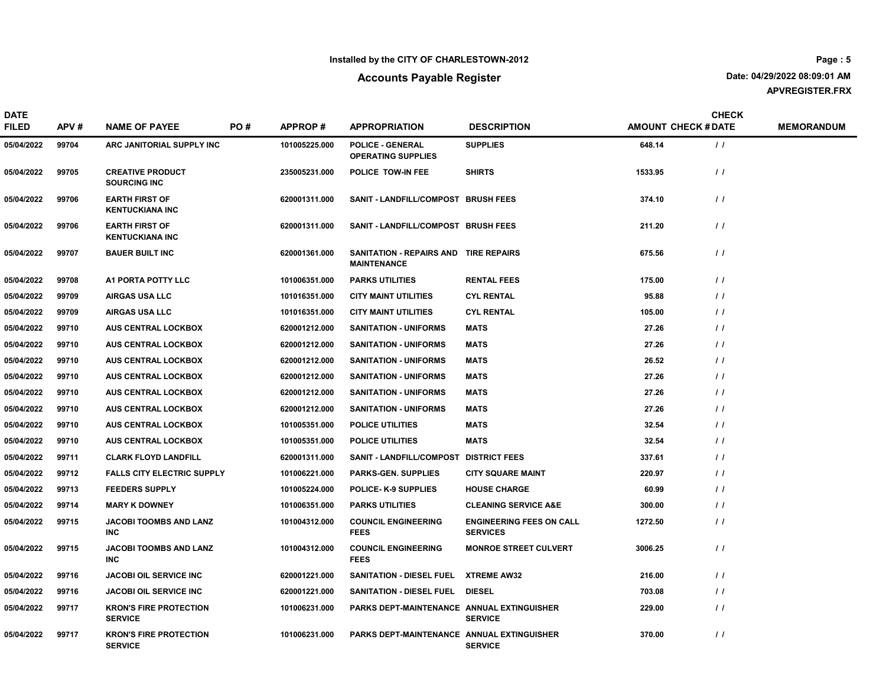#### Accounts Payable Register

APVREGISTER.FRX Date: 04/29/2022 08:09:01 AM

DATE FILED APV # NAME OF PAYEE PO # APPROP # APPROPRIATION DESCRIPTION AMOUNT CHECK # DATE MEMORANDUM CHECK PO # APPROP # APPROPRIATION DESCRIPTION DESTRIPTION AMOUNT CHECK #DATE 05/04/2022 99704 ARC JANITORIAL SUPPLY INC 101005225.000 OPERATING SUPPLIES POLICE - GENERAL SUPPLIES 648.14 (1) 05/04/2022 99705 CREATIVE PRODUCT SOURCING INC 235005231.000 POLICE TOW-IN FEE SHIRTS 6 1533.95 SHIRTS 1533.95 SHIRTS 05/04/2022 99706 EARTH FIRST OF KENTUCKIANA INC 620001311.000 SANIT - LANDFILL/COMPOST BRUSH FEES 374.10 374.10 05/04/2022 99706 EARTH FIRST OF KENTUCKIANA INC 620001311.000 SANIT - LANDFILL/COMPOST BRUSH FEES 211.20 211.20 / / 05/04/2022 99707 BAUER BUILT INC 620001361.000 SANITATION - REPAIRS AND TIRE REPAIRS 675.56 // MAINTENANCE 05/04/2022 99708 A1 PORTA POTTY LLC 101006351.000 PARKS UTILITIES RENTAL FEES 175.00 1/10106351.000 1/10106351.000 PARKS UTILITIES 05/04/2022 99709 AIRGAS USA LLC 1999 101016351.000 CITY MAINT UTILITIES CYL RENTAL 199709 95.88 199709 05.88 05/04/2022 99709 AIRGAS USA LLC 101016351.000 CITY MAINT UTILITIES CYL RENTAL 105.00 105.00 / / 05/04/2022 99710 AUS CENTRAL LOCKBOX 620001212.000 SANITATION - UNIFORMS MATS 627.26 621.26 620001212.000 MATS 05/04/2022 99710 AUS CENTRAL LOCKBOX 620001212.000 SANITATION - UNIFORMS MATS 627.26 27.26 / / 05/04/2022 99710 AUS CENTRAL LOCKBOX 620001212.000 SANITATION - UNIFORMS MATS 626.52 620001212.000 MATS 05/04/2022 99710 AUS CENTRAL LOCKBOX 620001212.000 SANITATION - UNIFORMS MATS 627.26 621.26 620001212.000 MATS 05/04/2022 99710 AUS CENTRAL LOCKBOX 620001212.000 SANITATION - UNIFORMS MATS 627.26 620001212.000 MATS 05/04/2022 99710 AUS CENTRAL LOCKBOX 620001212.000 SANITATION - UNIFORMS MATS 627.26 621.26 620001212.000 MATS 05/04/2022 99710 AUS CENTRAL LOCKBOX 101005351.000 POLICE UTILITIES MATS 32.54 32.54 7 / / 05/04/2022 99710 AUS CENTRAL LOCKBOX 101005351.000 POLICE UTILITIES MATS 32.54 32.54 7 / / 05/04/2022 99711 CLARK FLOYD LANDFILL 620001311.000 SANIT - LANDFILL/COMPOST DISTRICT FEES 337.61 620001311.000 05/04/2022 99712 FALLS CITY ELECTRIC SUPPLY 101006221.000 PARKS-GEN. SUPPLIES CITY SQUARE MAINT 220.97 / / 05/04/2022 99713 FEEDERS SUPPLY 101005224.000 POLICE- K-9 SUPPLIES HOUSE CHARGE 60.99 / / 05/04/2022 99714 MARY K DOWNEY 101006351.000 PARKS UTILITIES CLEANING SERVICE A&E 300.00 / / 05/04/2022 99715 JACOBI TOOMBS AND LANZ INC COUNCIL ENGINEERING FEES ENGINEERING FEES ON CALL 1272.50 101004312.000 / / SERVICES 05/04/2022 99715 JACOBI TOOMBS AND LANZ INC 101004312.000 COUNCIL ENGINEERING MONROE STREET CULVERT 3006.25 / / FEES 05/04/2022 99716 JACOBI OIL SERVICE INC 620001221.000 SANITATION - DIESEL FUEL XTREME AW32 216.00 6 / / 05/04/2022 99716 JACOBI OIL SERVICE INC SANITATION - DIESEL FUEL 703.08 620001221.000 DIESEL / / 05/04/2022 99717 KRON'S FIRE PROTECTION SERVICE 101006231.000 PARKS DEPT-MAINTENANCE ANNUAL EXTINGUISHER 229.00 29.00 / / **SERVICE** 05/04/2022 99717 KRON'S FIRE PROTECTION SERVICE 101006231.000 PARKS DEPT-MAINTENANCE ANNUAL EXTINGUISHER 370.00 and 370.00 **SERVICE**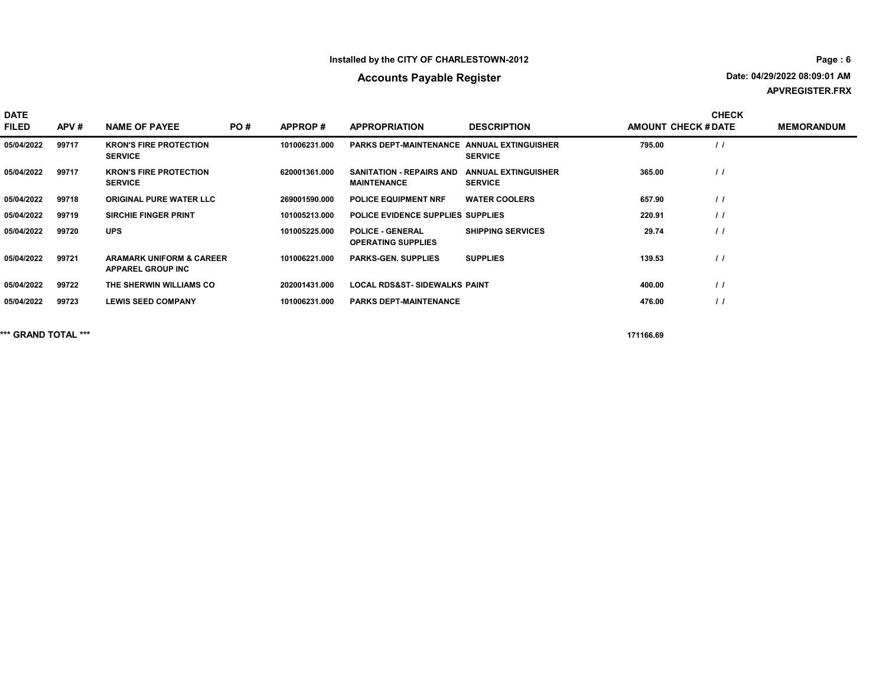# Accounts Payable Register

APVREGISTER.FRX Date: 04/29/2022 08:09:01 AM

| <b>DATE</b><br><b>FILED</b> | APV#  | <b>NAME OF PAYEE</b>                                            | PO# | APPROP#       | <b>APPROPRIATION</b>                                  | <b>DESCRIPTION</b>                           | <b>AMOUNT CHECK # DATE</b> | <b>CHECK</b>      | <b>MEMORANDUM</b> |
|-----------------------------|-------|-----------------------------------------------------------------|-----|---------------|-------------------------------------------------------|----------------------------------------------|----------------------------|-------------------|-------------------|
| 05/04/2022                  | 99717 | <b>KRON'S FIRE PROTECTION</b><br><b>SERVICE</b>                 |     | 101006231.000 | <b>PARKS DEPT-MAINTENANCE ANNUAL EXTINGUISHER</b>     | <b>SERVICE</b>                               | 795.00                     | $\prime$          |                   |
| 05/04/2022                  | 99717 | <b>KRON'S FIRE PROTECTION</b><br><b>SERVICE</b>                 |     | 620001361.000 | <b>SANITATION - REPAIRS AND</b><br><b>MAINTENANCE</b> | <b>ANNUAL EXTINGUISHER</b><br><b>SERVICE</b> | 365.00                     | $\prime$          |                   |
| 05/04/2022                  | 99718 | <b>ORIGINAL PURE WATER LLC</b>                                  |     | 269001590.000 | <b>POLICE EQUIPMENT NRF</b>                           | <b>WATER COOLERS</b>                         | 657.90                     | $\prime$          |                   |
| 05/04/2022                  | 99719 | <b>SIRCHIE FINGER PRINT</b>                                     |     | 101005213.000 | POLICE EVIDENCE SUPPLIES SUPPLIES                     |                                              | 220.91                     | $\prime$          |                   |
| 05/04/2022                  | 99720 | <b>UPS</b>                                                      |     | 101005225.000 | <b>POLICE - GENERAL</b><br><b>OPERATING SUPPLIES</b>  | <b>SHIPPING SERVICES</b>                     | 29.74                      | $\prime$          |                   |
| 05/04/2022                  | 99721 | <b>ARAMARK UNIFORM &amp; CAREER</b><br><b>APPAREL GROUP INC</b> |     | 101006221.000 | <b>PARKS-GEN, SUPPLIES</b>                            | <b>SUPPLIES</b>                              | 139.53                     | $\prime$          |                   |
| 05/04/2022                  | 99722 | THE SHERWIN WILLIAMS CO                                         |     | 202001431.000 | <b>LOCAL RDS&amp;ST- SIDEWALKS PAINT</b>              |                                              | 400.00                     | $\prime$          |                   |
| 05/04/2022                  | 99723 | <b>LEWIS SEED COMPANY</b>                                       |     | 101006231.000 | <b>PARKS DEPT-MAINTENANCE</b>                         |                                              | 476.00                     | $\prime$ $\prime$ |                   |

\*\*\* GRAND TOTAL \*\*\* 171166.69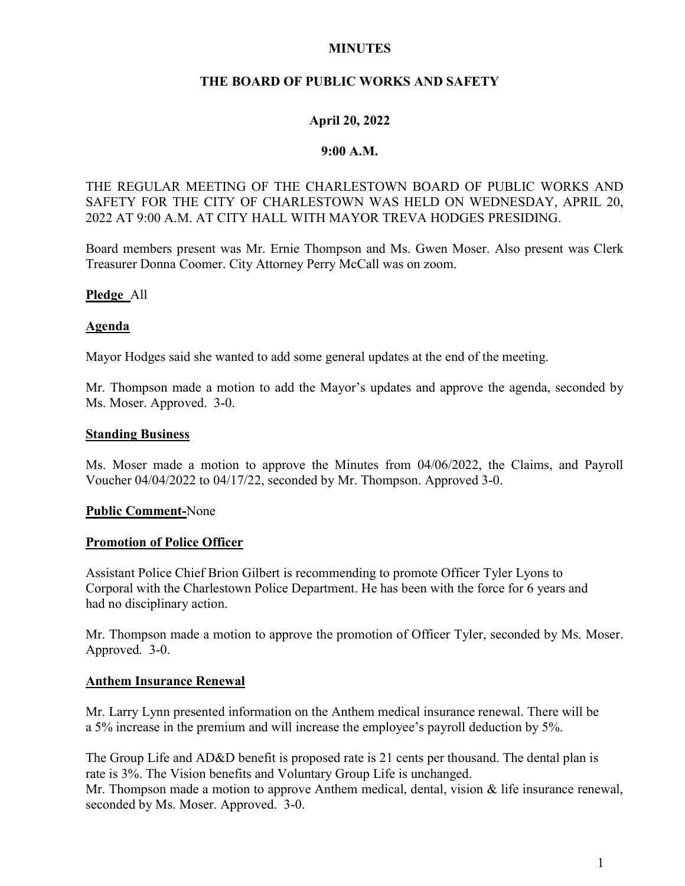## MINUTES

# THE BOARD OF PUBLIC WORKS AND SAFETY

## April 20, 2022

### 9:00 A.M.

# THE REGULAR MEETING OF THE CHARLESTOWN BOARD OF PUBLIC WORKS AND SAFETY FOR THE CITY OF CHARLESTOWN WAS HELD ON WEDNESDAY, APRIL 20, 2022 AT 9:00 A.M. AT CITY HALL WITH MAYOR TREVA HODGES PRESIDING.

Board members present was Mr. Ernie Thompson and Ms. Gwen Moser. Also present was Clerk Treasurer Donna Coomer. City Attorney Perry McCall was on zoom.

## Pledge All

### Agenda

Mayor Hodges said she wanted to add some general updates at the end of the meeting.

Mr. Thompson made a motion to add the Mayor's updates and approve the agenda, seconded by Ms. Moser. Approved. 3-0.

### Standing Business

Ms. Moser made a motion to approve the Minutes from 04/06/2022, the Claims, and Payroll Voucher 04/04/2022 to 04/17/22, seconded by Mr. Thompson. Approved 3-0.

### Public Comment-None

### Promotion of Police Officer

Assistant Police Chief Brion Gilbert is recommending to promote Officer Tyler Lyons to Corporal with the Charlestown Police Department. He has been with the force for 6 years and had no disciplinary action.

Mr. Thompson made a motion to approve the promotion of Officer Tyler, seconded by Ms. Moser. Approved. 3-0.

### Anthem Insurance Renewal

Mr. Larry Lynn presented information on the Anthem medical insurance renewal. There will be a 5% increase in the premium and will increase the employee's payroll deduction by 5%.

The Group Life and AD&D benefit is proposed rate is 21 cents per thousand. The dental plan is rate is 3%. The Vision benefits and Voluntary Group Life is unchanged. Mr. Thompson made a motion to approve Anthem medical, dental, vision & life insurance renewal, seconded by Ms. Moser. Approved. 3-0.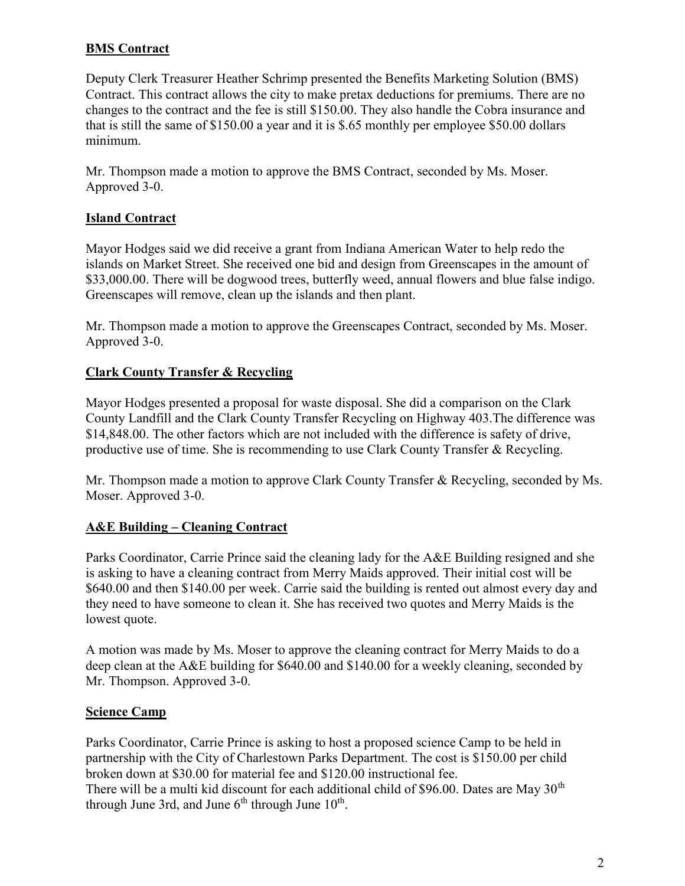# **BMS** Contract

Deputy Clerk Treasurer Heather Schrimp presented the Benefits Marketing Solution (BMS) Contract. This contract allows the city to make pretax deductions for premiums. There are no changes to the contract and the fee is still \$150.00. They also handle the Cobra insurance and that is still the same of \$150.00 a year and it is \$.65 monthly per employee \$50.00 dollars minimum.

Mr. Thompson made a motion to approve the BMS Contract, seconded by Ms. Moser. Approved 3-0.

# Island Contract

Mayor Hodges said we did receive a grant from Indiana American Water to help redo the islands on Market Street. She received one bid and design from Greenscapes in the amount of \$33,000.00. There will be dogwood trees, butterfly weed, annual flowers and blue false indigo. Greenscapes will remove, clean up the islands and then plant.

Mr. Thompson made a motion to approve the Greenscapes Contract, seconded by Ms. Moser. Approved 3-0.

# Clark County Transfer & Recycling

Mayor Hodges presented a proposal for waste disposal. She did a comparison on the Clark County Landfill and the Clark County Transfer Recycling on Highway 403.The difference was \$14,848.00. The other factors which are not included with the difference is safety of drive, productive use of time. She is recommending to use Clark County Transfer & Recycling.

Mr. Thompson made a motion to approve Clark County Transfer & Recycling, seconded by Ms. Moser. Approved 3-0.

# A&E Building – Cleaning Contract

Parks Coordinator, Carrie Prince said the cleaning lady for the A&E Building resigned and she is asking to have a cleaning contract from Merry Maids approved. Their initial cost will be \$640.00 and then \$140.00 per week. Carrie said the building is rented out almost every day and they need to have someone to clean it. She has received two quotes and Merry Maids is the lowest quote.

A motion was made by Ms. Moser to approve the cleaning contract for Merry Maids to do a deep clean at the A&E building for \$640.00 and \$140.00 for a weekly cleaning, seconded by Mr. Thompson. Approved 3-0.

# **Science Camp**

Parks Coordinator, Carrie Prince is asking to host a proposed science Camp to be held in partnership with the City of Charlestown Parks Department. The cost is \$150.00 per child broken down at \$30.00 for material fee and \$120.00 instructional fee. There will be a multi kid discount for each additional child of \$96.00. Dates are May  $30<sup>th</sup>$ through June 3rd, and June  $6<sup>th</sup>$  through June  $10<sup>th</sup>$ .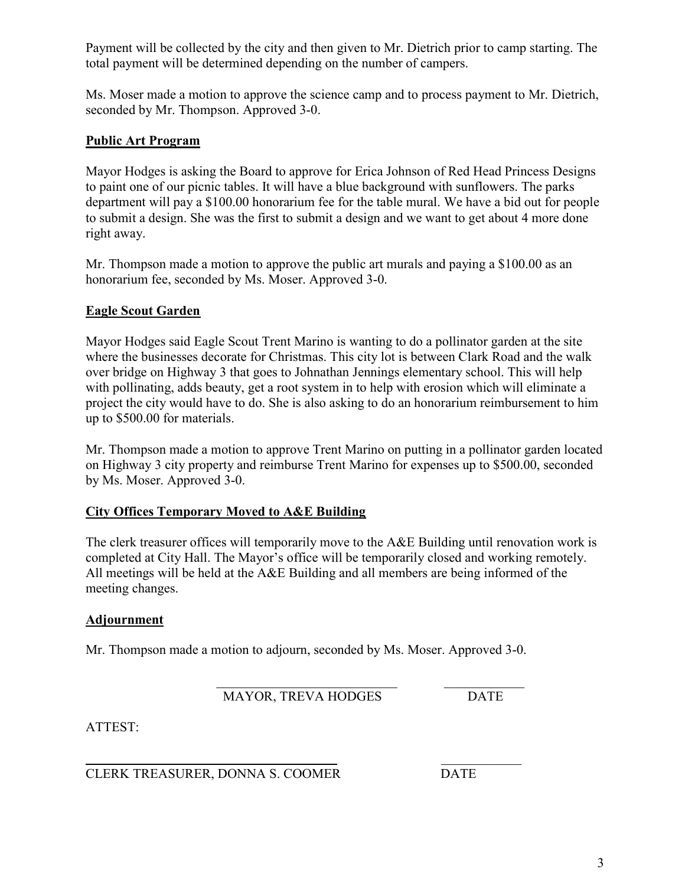Payment will be collected by the city and then given to Mr. Dietrich prior to camp starting. The total payment will be determined depending on the number of campers.

Ms. Moser made a motion to approve the science camp and to process payment to Mr. Dietrich, seconded by Mr. Thompson. Approved 3-0.

# Public Art Program

Mayor Hodges is asking the Board to approve for Erica Johnson of Red Head Princess Designs to paint one of our picnic tables. It will have a blue background with sunflowers. The parks department will pay a \$100.00 honorarium fee for the table mural. We have a bid out for people to submit a design. She was the first to submit a design and we want to get about 4 more done right away.

Mr. Thompson made a motion to approve the public art murals and paying a \$100.00 as an honorarium fee, seconded by Ms. Moser. Approved 3-0.

# Eagle Scout Garden

Mayor Hodges said Eagle Scout Trent Marino is wanting to do a pollinator garden at the site where the businesses decorate for Christmas. This city lot is between Clark Road and the walk over bridge on Highway 3 that goes to Johnathan Jennings elementary school. This will help with pollinating, adds beauty, get a root system in to help with erosion which will eliminate a project the city would have to do. She is also asking to do an honorarium reimbursement to him up to \$500.00 for materials.

Mr. Thompson made a motion to approve Trent Marino on putting in a pollinator garden located on Highway 3 city property and reimburse Trent Marino for expenses up to \$500.00, seconded by Ms. Moser. Approved 3-0.

# City Offices Temporary Moved to A&E Building

The clerk treasurer offices will temporarily move to the A&E Building until renovation work is completed at City Hall. The Mayor's office will be temporarily closed and working remotely. All meetings will be held at the A&E Building and all members are being informed of the meeting changes.

## Adjournment

Mr. Thompson made a motion to adjourn, seconded by Ms. Moser. Approved 3-0.

MAYOR, TREVA HODGES DATE

ATTEST:

 $\mathcal{L}_\text{max}$  , we can assume that the contract of  $\mathcal{L}_\text{max}$ CLERK TREASURER, DONNA S. COOMER DATE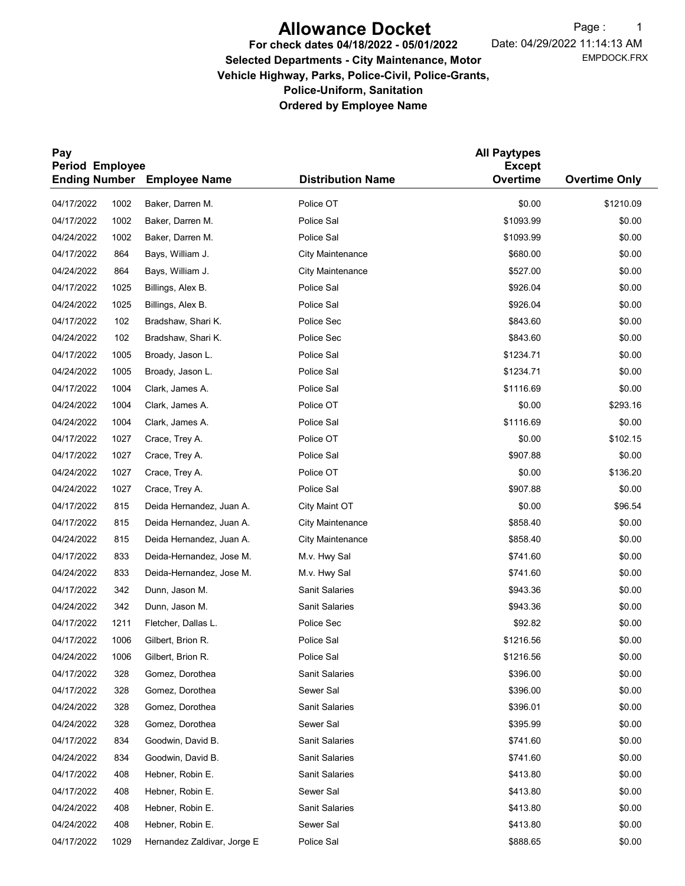# Allowance Docket

For check dates 04/18/2022 - 05/01/2022

EMPDOCK.FRX Date: 04/29/2022 11:14:13 AM Page: 1

# Selected Departments - City Maintenance, Motor Vehicle Highway, Parks, Police-Civil, Police-Grants, Police-Uniform, Sanitation Ordered by Employee Name

| Pay                                                          |      |                             |                          | <b>All Paytypes</b>       |                      |  |  |
|--------------------------------------------------------------|------|-----------------------------|--------------------------|---------------------------|----------------------|--|--|
| <b>Period Employee</b><br><b>Ending Number</b> Employee Name |      |                             | <b>Distribution Name</b> | <b>Except</b><br>Overtime | <b>Overtime Only</b> |  |  |
| 04/17/2022                                                   | 1002 | Baker, Darren M.            | Police OT                | \$0.00                    | \$1210.09            |  |  |
| 04/17/2022                                                   | 1002 | Baker, Darren M.            | Police Sal               | \$1093.99                 | \$0.00               |  |  |
| 04/24/2022                                                   | 1002 | Baker, Darren M.            | Police Sal               | \$1093.99                 | \$0.00               |  |  |
| 04/17/2022                                                   | 864  | Bays, William J.            | <b>City Maintenance</b>  | \$680.00                  | \$0.00               |  |  |
| 04/24/2022                                                   | 864  | Bays, William J.            | <b>City Maintenance</b>  | \$527.00                  | \$0.00               |  |  |
| 04/17/2022                                                   | 1025 | Billings, Alex B.           | Police Sal               | \$926.04                  | \$0.00               |  |  |
| 04/24/2022                                                   | 1025 | Billings, Alex B.           | Police Sal               | \$926.04                  | \$0.00               |  |  |
| 04/17/2022                                                   | 102  | Bradshaw, Shari K.          | Police Sec               | \$843.60                  | \$0.00               |  |  |
| 04/24/2022                                                   | 102  | Bradshaw, Shari K.          | Police Sec               | \$843.60                  | \$0.00               |  |  |
| 04/17/2022                                                   | 1005 | Broady, Jason L.            | Police Sal               | \$1234.71                 | \$0.00               |  |  |
| 04/24/2022                                                   | 1005 | Broady, Jason L.            | Police Sal               | \$1234.71                 | \$0.00               |  |  |
| 04/17/2022                                                   | 1004 | Clark, James A.             | Police Sal               | \$1116.69                 | \$0.00               |  |  |
| 04/24/2022                                                   | 1004 | Clark, James A.             | Police OT                | \$0.00                    | \$293.16             |  |  |
| 04/24/2022                                                   | 1004 | Clark, James A.             | Police Sal               | \$1116.69                 | \$0.00               |  |  |
| 04/17/2022                                                   | 1027 | Crace, Trey A.              | Police OT                | \$0.00                    | \$102.15             |  |  |
| 04/17/2022                                                   | 1027 | Crace, Trey A.              | Police Sal               | \$907.88                  | \$0.00               |  |  |
| 04/24/2022                                                   | 1027 | Crace, Trey A.              | Police OT                | \$0.00                    | \$136.20             |  |  |
| 04/24/2022                                                   | 1027 | Crace, Trey A.              | Police Sal               | \$907.88                  | \$0.00               |  |  |
| 04/17/2022                                                   | 815  | Deida Hernandez, Juan A.    | City Maint OT            | \$0.00                    | \$96.54              |  |  |
| 04/17/2022                                                   | 815  | Deida Hernandez, Juan A.    | <b>City Maintenance</b>  | \$858.40                  | \$0.00               |  |  |
| 04/24/2022                                                   | 815  | Deida Hernandez, Juan A.    | <b>City Maintenance</b>  | \$858.40                  | \$0.00               |  |  |
| 04/17/2022                                                   | 833  | Deida-Hernandez, Jose M.    | M.v. Hwy Sal             | \$741.60                  | \$0.00               |  |  |
| 04/24/2022                                                   | 833  | Deida-Hernandez, Jose M.    | M.v. Hwy Sal             | \$741.60                  | \$0.00               |  |  |
| 04/17/2022                                                   | 342  | Dunn, Jason M.              | Sanit Salaries           | \$943.36                  | \$0.00               |  |  |
| 04/24/2022                                                   | 342  | Dunn, Jason M.              | Sanit Salaries           | \$943.36                  | \$0.00               |  |  |
| 04/17/2022                                                   | 1211 | Fletcher, Dallas L.         | Police Sec               | \$92.82                   | \$0.00               |  |  |
| 04/17/2022                                                   | 1006 | Gilbert, Brion R.           | Police Sal               | \$1216.56                 | \$0.00               |  |  |
| 04/24/2022                                                   | 1006 | Gilbert, Brion R.           | Police Sal               | \$1216.56                 | \$0.00               |  |  |
| 04/17/2022                                                   | 328  | Gomez, Dorothea             | Sanit Salaries           | \$396.00                  | \$0.00               |  |  |
| 04/17/2022                                                   | 328  | Gomez, Dorothea             | Sewer Sal                | \$396.00                  | \$0.00               |  |  |
| 04/24/2022                                                   | 328  | Gomez, Dorothea             | Sanit Salaries           | \$396.01                  | \$0.00               |  |  |
| 04/24/2022                                                   | 328  | Gomez, Dorothea             | Sewer Sal                | \$395.99                  | \$0.00               |  |  |
| 04/17/2022                                                   | 834  | Goodwin, David B.           | Sanit Salaries           | \$741.60                  | \$0.00               |  |  |
| 04/24/2022                                                   | 834  | Goodwin, David B.           | Sanit Salaries           | \$741.60                  | \$0.00               |  |  |
| 04/17/2022                                                   | 408  | Hebner, Robin E.            | Sanit Salaries           | \$413.80                  | \$0.00               |  |  |
| 04/17/2022                                                   | 408  | Hebner, Robin E.            | Sewer Sal                | \$413.80                  | \$0.00               |  |  |
| 04/24/2022                                                   | 408  | Hebner, Robin E.            | Sanit Salaries           | \$413.80                  | \$0.00               |  |  |
| 04/24/2022                                                   | 408  | Hebner, Robin E.            | Sewer Sal                | \$413.80                  | \$0.00               |  |  |
| 04/17/2022                                                   | 1029 | Hernandez Zaldivar, Jorge E | Police Sal               | \$888.65                  | \$0.00               |  |  |
|                                                              |      |                             |                          |                           |                      |  |  |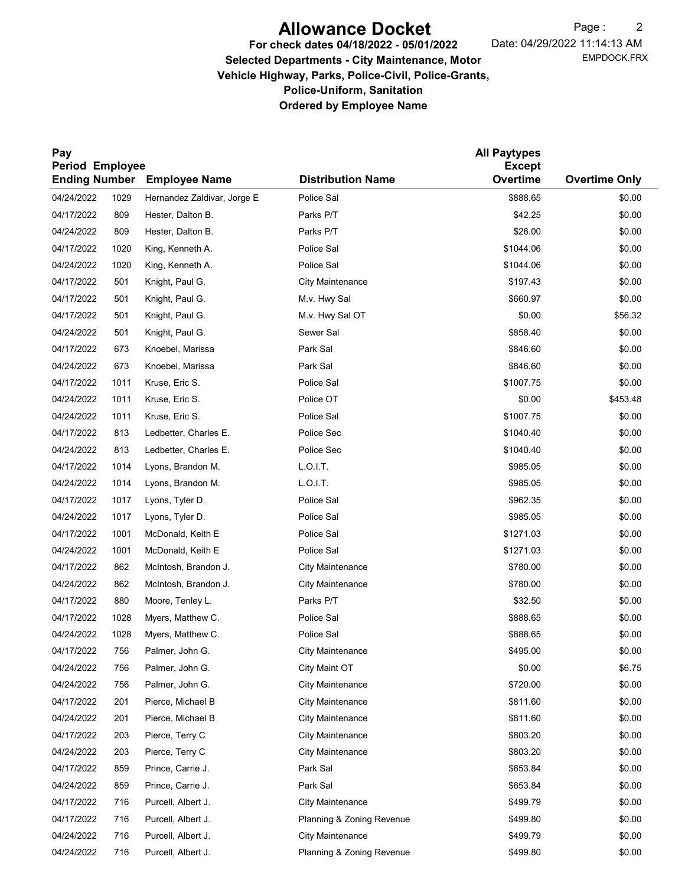# Allowance Docket

EMPDOCK.FRX Date: 04/29/2022 11:14:13 AM Page: 2

# For check dates 04/18/2022 - 05/01/2022 Selected Departments - City Maintenance, Motor Vehicle Highway, Parks, Police-Civil, Police-Grants, Police-Uniform, Sanitation Ordered by Employee Name

| Pay                                     |      |                             |                                      | <b>All Paytypes</b>       |                      |
|-----------------------------------------|------|-----------------------------|--------------------------------------|---------------------------|----------------------|
| Period Employee<br><b>Ending Number</b> |      | <b>Employee Name</b>        | <b>Distribution Name</b>             | <b>Except</b><br>Overtime | <b>Overtime Only</b> |
| 04/24/2022                              | 1029 | Hernandez Zaldivar, Jorge E | Police Sal                           | \$888.65                  | \$0.00               |
| 04/17/2022                              | 809  | Hester, Dalton B.           | Parks P/T                            | \$42.25                   | \$0.00               |
| 04/24/2022                              | 809  | Hester, Dalton B.           | Parks P/T                            | \$26.00                   | \$0.00               |
| 04/17/2022                              | 1020 | King, Kenneth A.            | Police Sal                           | \$1044.06                 | \$0.00               |
| 04/24/2022                              | 1020 | King, Kenneth A.            | Police Sal                           | \$1044.06                 | \$0.00               |
| 04/17/2022                              | 501  | Knight, Paul G.             | City Maintenance                     | \$197.43                  | \$0.00               |
| 04/17/2022                              | 501  | Knight, Paul G.             | M.v. Hwy Sal                         | \$660.97                  | \$0.00               |
| 04/17/2022                              | 501  | Knight, Paul G.             | M.v. Hwy Sal OT                      | \$0.00                    | \$56.32              |
| 04/24/2022                              | 501  | Knight, Paul G.             | Sewer Sal                            | \$858.40                  | \$0.00               |
| 04/17/2022                              | 673  | Knoebel, Marissa            | Park Sal                             | \$846.60                  | \$0.00               |
| 04/24/2022                              | 673  | Knoebel, Marissa            | Park Sal                             | \$846.60                  | \$0.00               |
| 04/17/2022                              | 1011 | Kruse, Eric S.              | Police Sal                           | \$1007.75                 | \$0.00               |
| 04/24/2022                              | 1011 | Kruse, Eric S.              | Police OT                            | \$0.00                    | \$453.48             |
| 04/24/2022                              | 1011 | Kruse, Eric S.              | Police Sal                           | \$1007.75                 | \$0.00               |
| 04/17/2022                              | 813  | Ledbetter, Charles E.       | Police Sec                           | \$1040.40                 | \$0.00               |
| 04/24/2022                              | 813  | Ledbetter, Charles E.       | Police Sec                           | \$1040.40                 | \$0.00               |
| 04/17/2022                              | 1014 | Lyons, Brandon M.           | L.O.I.T.                             | \$985.05                  | \$0.00               |
| 04/24/2022                              | 1014 | Lyons, Brandon M.           | L.O.I.T.                             | \$985.05                  | \$0.00               |
| 04/17/2022                              | 1017 | Lyons, Tyler D.             | Police Sal                           | \$962.35                  | \$0.00               |
| 04/24/2022                              | 1017 | Lyons, Tyler D.             | Police Sal                           | \$985.05                  | \$0.00               |
| 04/17/2022                              | 1001 | McDonald, Keith E           | Police Sal                           | \$1271.03                 | \$0.00               |
| 04/24/2022                              | 1001 | McDonald, Keith E           | Police Sal                           | \$1271.03                 | \$0.00               |
| 04/17/2022                              | 862  | McIntosh, Brandon J.        | <b>City Maintenance</b>              | \$780.00                  | \$0.00               |
| 04/24/2022                              | 862  | McIntosh, Brandon J.        | City Maintenance                     | \$780.00                  | \$0.00               |
| 04/17/2022                              | 880  | Moore, Tenley L.            | Parks P/T                            | \$32.50                   | \$0.00               |
| 04/17/2022                              | 1028 | Myers, Matthew C.           | Police Sal                           | \$888.65                  | \$0.00               |
| 04/24/2022                              | 1028 | Myers, Matthew C.           | Police Sal                           | \$888.65                  | \$0.00               |
| 04/17/2022                              | 756  | Palmer, John G.             | <b>City Maintenance</b>              | \$495.00                  | \$0.00               |
| 04/24/2022                              | 756  | Palmer, John G.             | City Maint OT                        | \$0.00                    | \$6.75               |
| 04/24/2022                              |      |                             |                                      | \$720.00                  |                      |
| 04/17/2022                              | 756  | Palmer, John G.             | City Maintenance<br>City Maintenance | \$811.60                  | \$0.00               |
| 04/24/2022                              | 201  | Pierce, Michael B           |                                      |                           | \$0.00<br>\$0.00     |
|                                         | 201  | Pierce, Michael B           | <b>City Maintenance</b>              | \$811.60                  |                      |
| 04/17/2022                              | 203  | Pierce, Terry C             | <b>City Maintenance</b>              | \$803.20                  | \$0.00               |
| 04/24/2022                              | 203  | Pierce, Terry C             | <b>City Maintenance</b>              | \$803.20                  | \$0.00               |
| 04/17/2022                              | 859  | Prince, Carrie J.           | Park Sal                             | \$653.84                  | \$0.00               |
| 04/24/2022                              | 859  | Prince, Carrie J.           | Park Sal                             | \$653.84                  | \$0.00               |
| 04/17/2022                              | 716  | Purcell, Albert J.          | City Maintenance                     | \$499.79                  | \$0.00               |
| 04/17/2022                              | 716  | Purcell, Albert J.          | Planning & Zoning Revenue            | \$499.80                  | \$0.00               |
| 04/24/2022                              | 716  | Purcell, Albert J.          | <b>City Maintenance</b>              | \$499.79                  | \$0.00               |
| 04/24/2022                              | 716  | Purcell, Albert J.          | Planning & Zoning Revenue            | \$499.80                  | \$0.00               |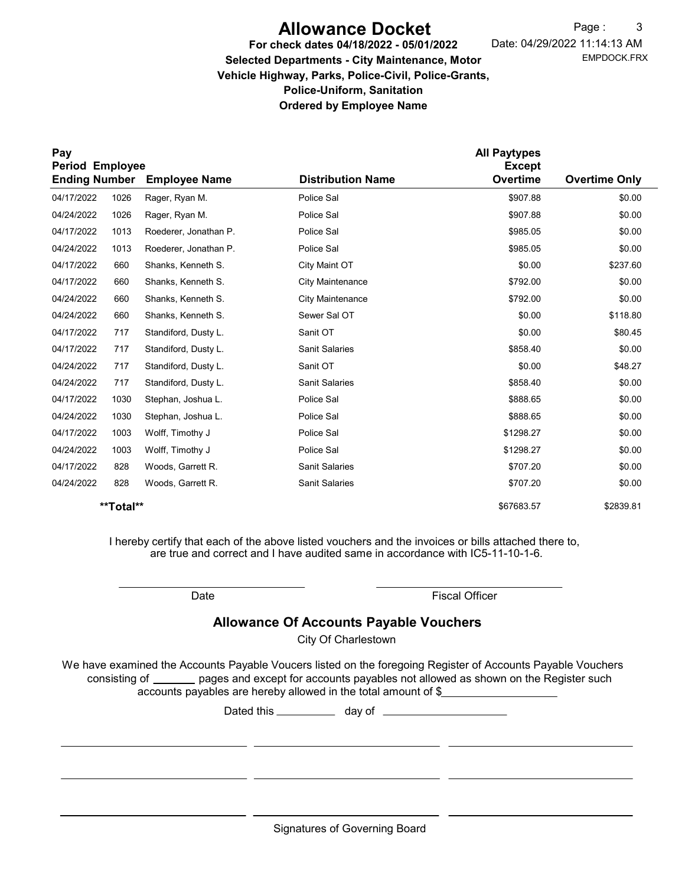# Allowance Docket

EMPDOCK.FRX Date: 04/29/2022 11:14:13 AM Page: 3

## For check dates 04/18/2022 - 05/01/2022 Selected Departments - City Maintenance, Motor Vehicle Highway, Parks, Police-Civil, Police-Grants, Police-Uniform, Sanitation Ordered by Employee Name

| Pay                                     |           |                       |                          | <b>All Paytypes</b><br><b>Except</b> |                      |
|-----------------------------------------|-----------|-----------------------|--------------------------|--------------------------------------|----------------------|
| Period Employee<br><b>Ending Number</b> |           | <b>Employee Name</b>  | <b>Distribution Name</b> |                                      | <b>Overtime Only</b> |
| 04/17/2022                              | 1026      | Rager, Ryan M.        | Police Sal               | \$907.88                             | \$0.00               |
| 04/24/2022                              | 1026      | Rager, Ryan M.        | Police Sal               | \$907.88                             | \$0.00               |
| 04/17/2022                              | 1013      | Roederer, Jonathan P. | Police Sal               | \$985.05                             | \$0.00               |
| 04/24/2022                              | 1013      | Roederer, Jonathan P. | Police Sal               | \$985.05                             | \$0.00               |
| 04/17/2022                              | 660       | Shanks, Kenneth S.    | City Maint OT            | \$0.00                               | \$237.60             |
| 04/17/2022                              | 660       | Shanks, Kenneth S.    | <b>City Maintenance</b>  | \$792.00                             | \$0.00               |
| 04/24/2022                              | 660       | Shanks, Kenneth S.    | <b>City Maintenance</b>  | \$792.00                             | \$0.00               |
| 04/24/2022                              | 660       | Shanks, Kenneth S.    | Sewer Sal OT             | \$0.00                               | \$118.80             |
| 04/17/2022                              | 717       | Standiford, Dusty L.  | Sanit OT                 | \$0.00                               | \$80.45              |
| 04/17/2022                              | 717       | Standiford, Dusty L.  | <b>Sanit Salaries</b>    | \$858.40                             | \$0.00               |
| 04/24/2022                              | 717       | Standiford, Dusty L.  | Sanit OT                 | \$0.00                               | \$48.27              |
| 04/24/2022                              | 717       | Standiford, Dusty L.  | <b>Sanit Salaries</b>    | \$858.40                             | \$0.00               |
| 04/17/2022                              | 1030      | Stephan, Joshua L.    | Police Sal               | \$888.65                             | \$0.00               |
| 04/24/2022                              | 1030      | Stephan, Joshua L.    | Police Sal               | \$888.65                             | \$0.00               |
| 04/17/2022                              | 1003      | Wolff, Timothy J      | Police Sal               | \$1298.27                            | \$0.00               |
| 04/24/2022                              | 1003      | Wolff, Timothy J      | Police Sal               | \$1298.27                            | \$0.00               |
| 04/17/2022                              | 828       | Woods, Garrett R.     | <b>Sanit Salaries</b>    | \$707.20                             | \$0.00               |
| 04/24/2022                              | 828       | Woods, Garrett R.     | <b>Sanit Salaries</b>    | \$707.20                             | \$0.00               |
|                                         | **Total** |                       |                          | \$67683.57                           | \$2839.81            |

I hereby certify that each of the above listed vouchers and the invoices or bills attached there to, are true and correct and I have audited same in accordance with IC5-11-10-1-6.

Date **Date Fiscal Officer** 

## Allowance Of Accounts Payable Vouchers

City Of Charlestown

We have examined the Accounts Payable Voucers listed on the foregoing Register of Accounts Payable Vouchers accounts payables are hereby allowed in the total amount of \$ consisting of pages and except for accounts payables not allowed as shown on the Register such

Dated this \_\_\_\_\_\_\_\_\_\_\_\_ day of \_\_\_\_\_\_\_\_\_\_\_\_\_\_\_

Signatures of Governing Board